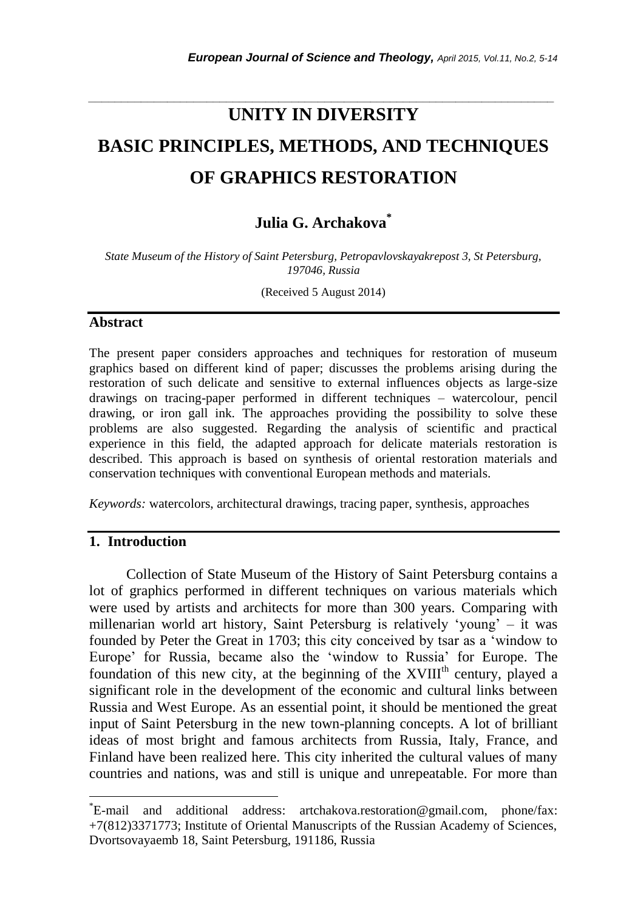# **UNITY IN DIVERSITY BASIC PRINCIPLES, METHODS, AND TECHNIQUES OF GRAPHICS RESTORATION**

*\_\_\_\_\_\_\_\_\_\_\_\_\_\_\_\_\_\_\_\_\_\_\_\_\_\_\_\_\_\_\_\_\_\_\_\_\_\_\_\_\_\_\_\_\_\_\_\_\_\_\_\_\_\_\_\_\_\_\_\_\_\_\_\_\_\_\_\_\_\_\_*

# **Julia G. Archakova \***

*State Museum of the History of Saint Petersburg, Petropavlovskayakrepost 3, St Petersburg, 197046, Russia*

(Received 5 August 2014)

#### **Abstract**

The present paper considers approaches and techniques for restoration of museum graphics based on different kind of paper; discusses the problems arising during the restoration of such delicate and sensitive to external influences objects as large-size drawings on tracing-paper performed in different techniques – watercolour, pencil drawing, or iron gall ink. The approaches providing the possibility to solve these problems are also suggested. Regarding the analysis of scientific and practical experience in this field, the adapted approach for delicate materials restoration is described. This approach is based on synthesis of oriental restoration materials and conservation techniques with conventional European methods and materials.

*Keywords:* watercolors, architectural drawings, tracing paper, synthesis, approaches

# **1. Introduction**

l

Collection of State Museum of the History of Saint Petersburg contains a lot of graphics performed in different techniques on various materials which were used by artists and architects for more than 300 years. Comparing with millenarian world art history, Saint Petersburg is relatively 'young' – it was founded by Peter the Great in 1703; this city conceived by tsar as a 'window to Europe' for Russia, became also the 'window to Russia' for Europe. The foundation of this new city, at the beginning of the XVIII<sup>th</sup> century, played a significant role in the development of the economic and cultural links between Russia and West Europe. As an essential point, it should be mentioned the great input of Saint Petersburg in the new town-planning concepts. A lot of brilliant ideas of most bright and famous architects from Russia, Italy, France, and Finland have been realized here. This city inherited the cultural values of many countries and nations, was and still is unique and unrepeatable. For more than

<sup>\*</sup>E-mail and additional address: artchakova.restoration@gmail.com, phone/fax: +7(812)3371773; Institute of Oriental Manuscripts of the Russian Academy of Sciences, Dvortsovayaemb 18, Saint Petersburg, 191186, Russia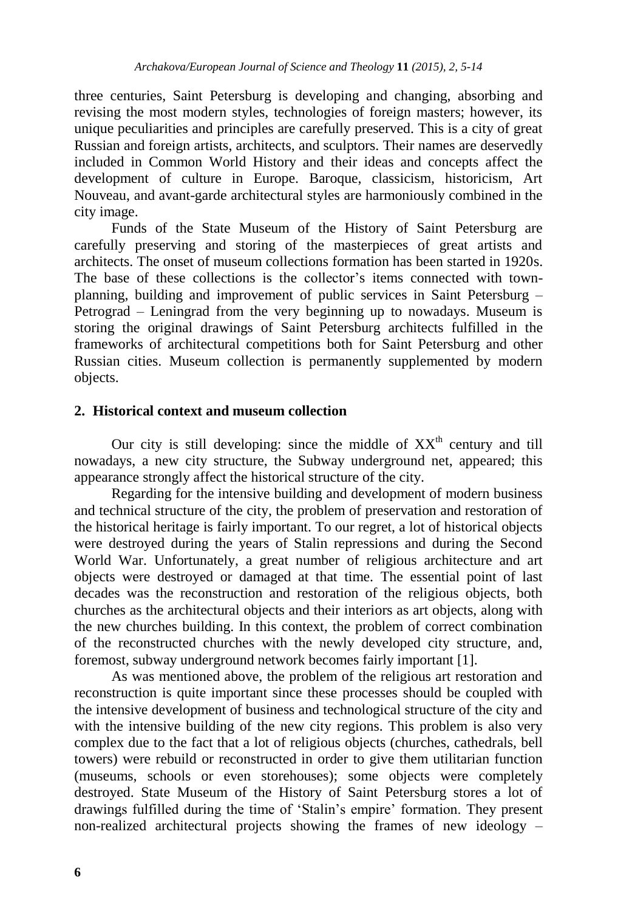three centuries, Saint Petersburg is developing and changing, absorbing and revising the most modern styles, technologies of foreign masters; however, its unique peculiarities and principles are carefully preserved. This is a city of great Russian and foreign artists, architects, and sculptors. Their names are deservedly included in Common World History and their ideas and concepts affect the development of culture in Europe. Baroque, classicism, historicism, Art Nouveau, and avant-garde architectural styles are harmoniously combined in the city image.

Funds of the State Museum of the History of Saint Petersburg are carefully preserving and storing of the masterpieces of great artists and architects. The onset of museum collections formation has been started in 1920s. The base of these collections is the collector's items connected with townplanning, building and improvement of public services in Saint Petersburg – Petrograd – Leningrad from the very beginning up to nowadays. Museum is storing the original drawings of Saint Petersburg architects fulfilled in the frameworks of architectural competitions both for Saint Petersburg and other Russian cities. Museum collection is permanently supplemented by modern objects.

#### **2. Historical context and museum collection**

Our city is still developing: since the middle of  $XX<sup>th</sup>$  century and till nowadays, a new city structure, the Subway underground net, appeared; this appearance strongly affect the historical structure of the city.

Regarding for the intensive building and development of modern business and technical structure of the city, the problem of preservation and restoration of the historical heritage is fairly important. To our regret, a lot of historical objects were destroyed during the years of Stalin repressions and during the Second World War. Unfortunately, a great number of religious architecture and art objects were destroyed or damaged at that time. The essential point of last decades was the reconstruction and restoration of the religious objects, both churches as the architectural objects and their interiors as art objects, along with the new churches building. In this context, the problem of correct combination of the reconstructed churches with the newly developed city structure, and, foremost, subway underground network becomes fairly important [1].

As was mentioned above, the problem of the religious art restoration and reconstruction is quite important since these processes should be coupled with the intensive development of business and technological structure of the city and with the intensive building of the new city regions. This problem is also very complex due to the fact that a lot of religious objects (churches, cathedrals, bell towers) were rebuild or reconstructed in order to give them utilitarian function (museums, schools or even storehouses); some objects were completely destroyed. State Museum of the History of Saint Petersburg stores a lot of drawings fulfilled during the time of 'Stalin's empire' formation. They present non-realized architectural projects showing the frames of new ideology –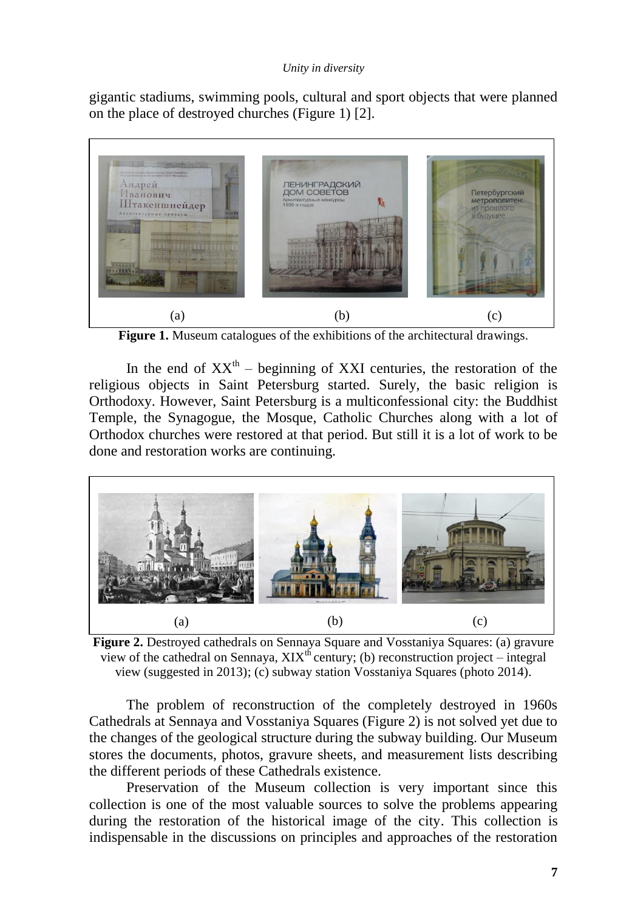gigantic stadiums, swimming pools, cultural and sport objects that were planned on the place of destroyed churches (Figure 1) [2].



**Figure 1.** Museum catalogues of the exhibitions of the architectural drawings.

In the end of  $XX<sup>th</sup>$  – beginning of XXI centuries, the restoration of the religious objects in Saint Petersburg started. Surely, the basic religion is Orthodoxy. However, Saint Petersburg is a multiconfessional city: the Buddhist Temple, the Synagogue, the Mosque, Catholic Churches along with a lot of Orthodox churches were restored at that period. But still it is a lot of work to be done and restoration works are continuing.



**Figure 2.** Destroyed cathedrals on Sennaya Square and Vosstaniya Squares: (a) gravure view of the cathedral on Sennaya,  $XIX^{th}$  century; (b) reconstruction project – integral view (suggested in 2013); (c) subway station Vosstaniya Squares (photo 2014).

The problem of reconstruction of the completely destroyed in 1960s Cathedrals at Sennaya and Vosstaniya Squares (Figure 2) is not solved yet due to the changes of the geological structure during the subway building. Our Museum stores the documents, photos, gravure sheets, and measurement lists describing the different periods of these Cathedrals existence.

Preservation of the Museum collection is very important since this collection is one of the most valuable sources to solve the problems appearing during the restoration of the historical image of the city. This collection is indispensable in the discussions on principles and approaches of the restoration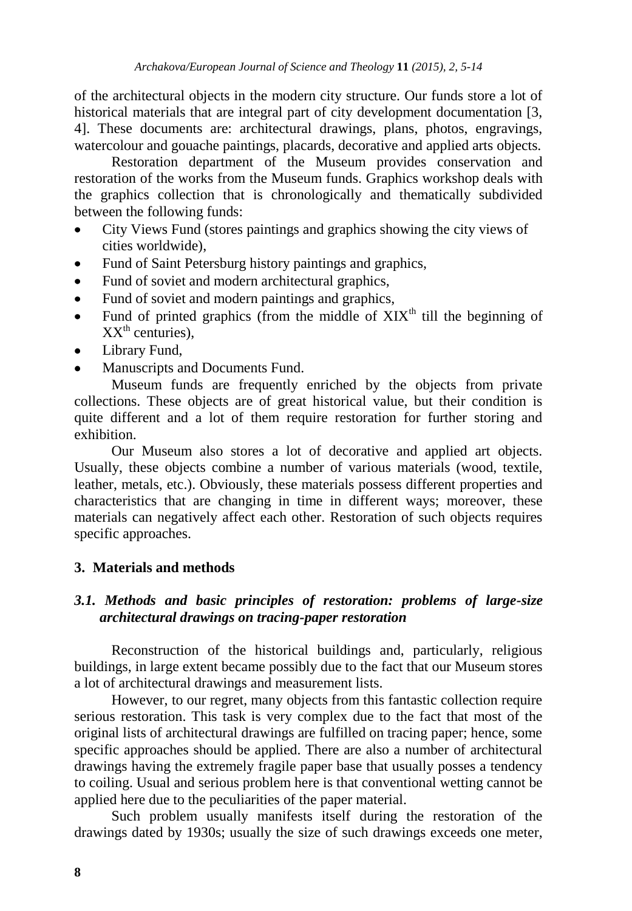of the architectural objects in the modern city structure. Our funds store a lot of historical materials that are integral part of city development documentation [3, 4]. These documents are: architectural drawings, plans, photos, engravings, watercolour and gouache paintings, placards, decorative and applied arts objects.

Restoration department of the Museum provides conservation and restoration of the works from the Museum funds. Graphics workshop deals with the graphics collection that is chronologically and thematically subdivided between the following funds:

- City Views Fund (stores paintings and graphics showing the city views of cities worldwide),
- Fund of Saint Petersburg history paintings and graphics,
- Fund of soviet and modern architectural graphics,
- Fund of soviet and modern paintings and graphics,
- Fund of printed graphics (from the middle of  $XIX<sup>th</sup>$  till the beginning of  $XX<sup>th</sup>$  centuries).
- Library Fund,
- Manuscripts and Documents Fund.

Museum funds are frequently enriched by the objects from private collections. These objects are of great historical value, but their condition is quite different and a lot of them require restoration for further storing and exhibition.

Our Museum also stores a lot of decorative and applied art objects. Usually, these objects combine a number of various materials (wood, textile, leather, metals, etc.). Obviously, these materials possess different properties and characteristics that are changing in time in different ways; moreover, these materials can negatively affect each other. Restoration of such objects requires specific approaches.

# **3. Materials and methods**

# *3.1. Methods and basic principles of restoration: problems of large-size architectural drawings on tracing-paper restoration*

Reconstruction of the historical buildings and, particularly, religious buildings, in large extent became possibly due to the fact that our Museum stores a lot of architectural drawings and measurement lists.

However, to our regret, many objects from this fantastic collection require serious restoration. This task is very complex due to the fact that most of the original lists of architectural drawings are fulfilled on tracing paper; hence, some specific approaches should be applied. There are also a number of architectural drawings having the extremely fragile paper base that usually posses a tendency to coiling. Usual and serious problem here is that conventional wetting cannot be applied here due to the peculiarities of the paper material.

Such problem usually manifests itself during the restoration of the drawings dated by 1930s; usually the size of such drawings exceeds one meter,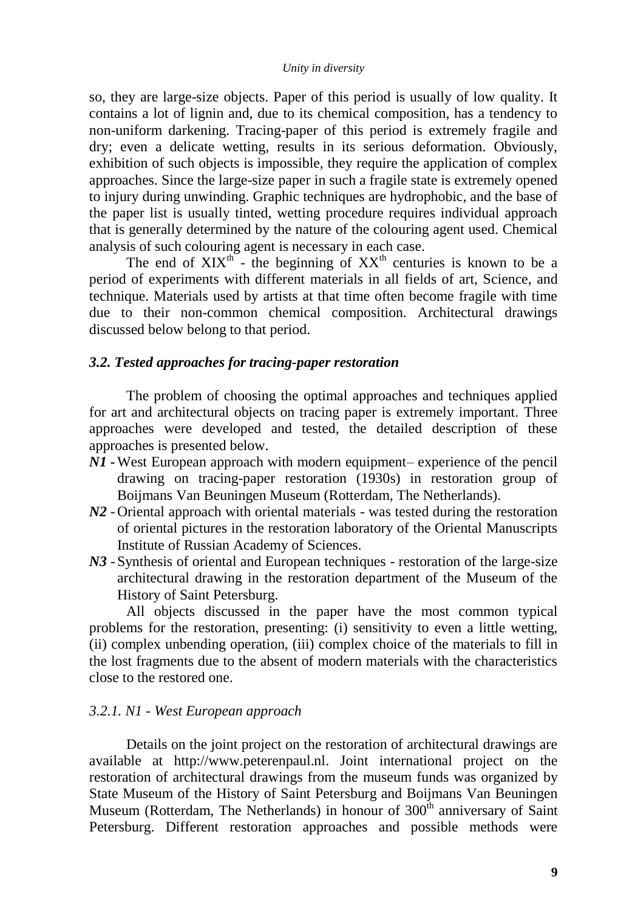so, they are large-size objects. Paper of this period is usually of low quality. It contains a lot of lignin and, due to its chemical composition, has a tendency to non-uniform darkening. Tracing-paper of this period is extremely fragile and dry; even a delicate wetting, results in its serious deformation. Obviously, exhibition of such objects is impossible, they require the application of complex approaches. Since the large-size paper in such a fragile state is extremely opened to injury during unwinding. Graphic techniques are hydrophobic, and the base of the paper list is usually tinted, wetting procedure requires individual approach that is generally determined by the nature of the colouring agent used. Chemical analysis of such colouring agent is necessary in each case.

The end of  $XIX<sup>th</sup>$  - the beginning of  $XX<sup>th</sup>$  centuries is known to be a period of experiments with different materials in all fields of art, Science, and technique. Materials used by artists at that time often become fragile with time due to their non-common chemical composition. Architectural drawings discussed below belong to that period.

### *3.2. Tested approaches for tracing-paper restoration*

The problem of choosing the optimal approaches and techniques applied for art and architectural objects on tracing paper is extremely important. Three approaches were developed and tested, the detailed description of these approaches is presented below.

- *N1 -*West European approach with modern equipment– experience of the pencil drawing on tracing-paper restoration (1930s) in restoration group of Boijmans Van Beuningen Museum (Rotterdam, The Netherlands).
- *N2* -Oriental approach with oriental materials was tested during the restoration of oriental pictures in the restoration laboratory of the Oriental Manuscripts Institute of Russian Academy of Sciences.
- *N3* -Synthesis of oriental and European techniques restoration of the large-size architectural drawing in the restoration department of the Museum of the History of Saint Petersburg.

All objects discussed in the paper have the most common typical problems for the restoration, presenting: (i) sensitivity to even a little wetting, (ii) complex unbending operation, (iii) complex choice of the materials to fill in the lost fragments due to the absent of modern materials with the characteristics close to the restored one.

#### *3.2.1. N1 - West European approach*

Details on the joint project on the restoration of architectural drawings are available at http://www.peterenpaul.nl. Joint international project on the restoration of architectural drawings from the museum funds was organized by State Museum of the History of Saint Petersburg and Boijmans Van Beuningen Museum (Rotterdam, The Netherlands) in honour of  $300<sup>th</sup>$  anniversary of Saint Petersburg. Different restoration approaches and possible methods were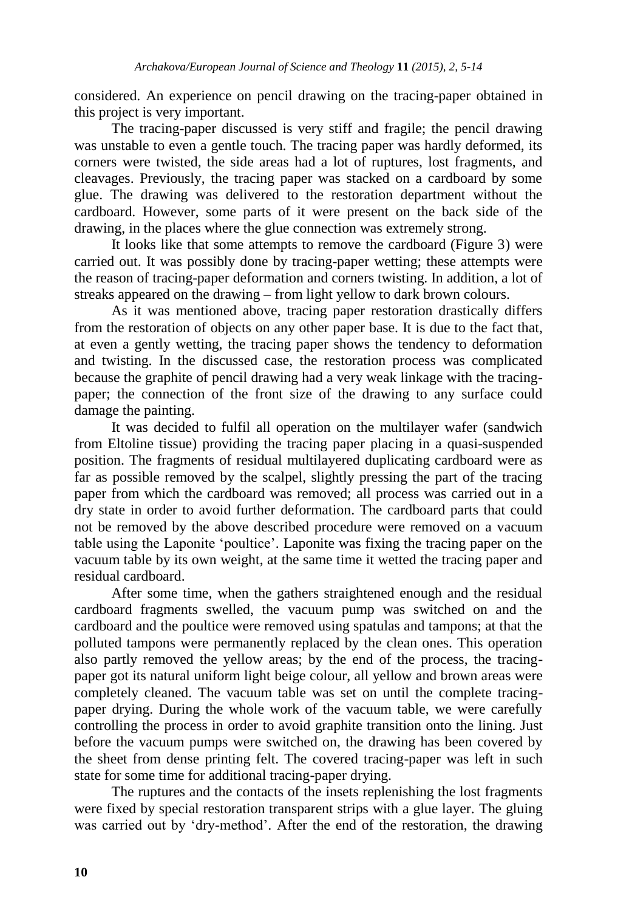considered. An experience on pencil drawing on the tracing-paper obtained in this project is very important.

The tracing-paper discussed is very stiff and fragile; the pencil drawing was unstable to even a gentle touch. The tracing paper was hardly deformed, its corners were twisted, the side areas had a lot of ruptures, lost fragments, and cleavages. Previously, the tracing paper was stacked on a cardboard by some glue. The drawing was delivered to the restoration department without the cardboard. However, some parts of it were present on the back side of the drawing, in the places where the glue connection was extremely strong.

It looks like that some attempts to remove the cardboard (Figure 3) were carried out. It was possibly done by tracing-paper wetting; these attempts were the reason of tracing-paper deformation and corners twisting. In addition, a lot of streaks appeared on the drawing – from light yellow to dark brown colours.

As it was mentioned above, tracing paper restoration drastically differs from the restoration of objects on any other paper base. It is due to the fact that, at even a gently wetting, the tracing paper shows the tendency to deformation and twisting. In the discussed case, the restoration process was complicated because the graphite of pencil drawing had a very weak linkage with the tracingpaper; the connection of the front size of the drawing to any surface could damage the painting.

It was decided to fulfil all operation on the multilayer wafer (sandwich from Eltoline tissue) providing the tracing paper placing in a quasi-suspended position. The fragments of residual multilayered duplicating cardboard were as far as possible removed by the scalpel, slightly pressing the part of the tracing paper from which the cardboard was removed; all process was carried out in a dry state in order to avoid further deformation. The cardboard parts that could not be removed by the above described procedure were removed on a vacuum table using the Laponite 'poultice'. Laponite was fixing the tracing paper on the vacuum table by its own weight, at the same time it wetted the tracing paper and residual cardboard.

After some time, when the gathers straightened enough and the residual cardboard fragments swelled, the vacuum pump was switched on and the cardboard and the poultice were removed using spatulas and tampons; at that the polluted tampons were permanently replaced by the clean ones. This operation also partly removed the yellow areas; by the end of the process, the tracingpaper got its natural uniform light beige colour, all yellow and brown areas were completely cleaned. The vacuum table was set on until the complete tracingpaper drying. During the whole work of the vacuum table, we were carefully controlling the process in order to avoid graphite transition onto the lining. Just before the vacuum pumps were switched on, the drawing has been covered by the sheet from dense printing felt. The covered tracing-paper was left in such state for some time for additional tracing-paper drying.

The ruptures and the contacts of the insets replenishing the lost fragments were fixed by special restoration transparent strips with a glue layer. The gluing was carried out by 'dry-method'. After the end of the restoration, the drawing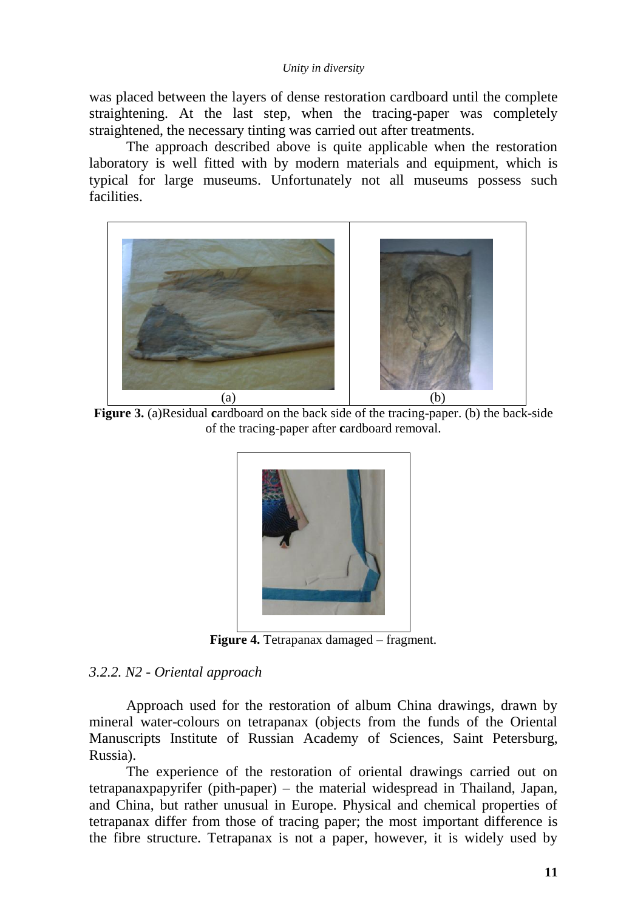was placed between the layers of dense restoration cardboard until the complete straightening. At the last step, when the tracing-paper was completely straightened, the necessary tinting was carried out after treatments.

The approach described above is quite applicable when the restoration laboratory is well fitted with by modern materials and equipment, which is typical for large museums. Unfortunately not all museums possess such facilities.



**Figure 3.** (a)Residual **c**ardboard on the back side of the tracing-paper. (b) the back-side of the tracing-paper after **c**ardboard removal.



**Figure 4.** Tetrapanax damaged – fragment.

# *3.2.2. N2 - Oriental approach*

Approach used for the restoration of album China drawings, drawn by mineral water-colours on tetrapanax (objects from the funds of the Oriental Manuscripts Institute of Russian Academy of Sciences, Saint Petersburg, Russia).

The experience of the restoration of oriental drawings carried out on tetrapanaxpapyrifer (pith-paper) – the material widespread in Thailand, Japan, and China, but rather unusual in Europe. Physical and chemical properties of tetrapanax differ from those of tracing paper; the most important difference is the fibre structure. Tetrapanax is not a paper, however, it is widely used by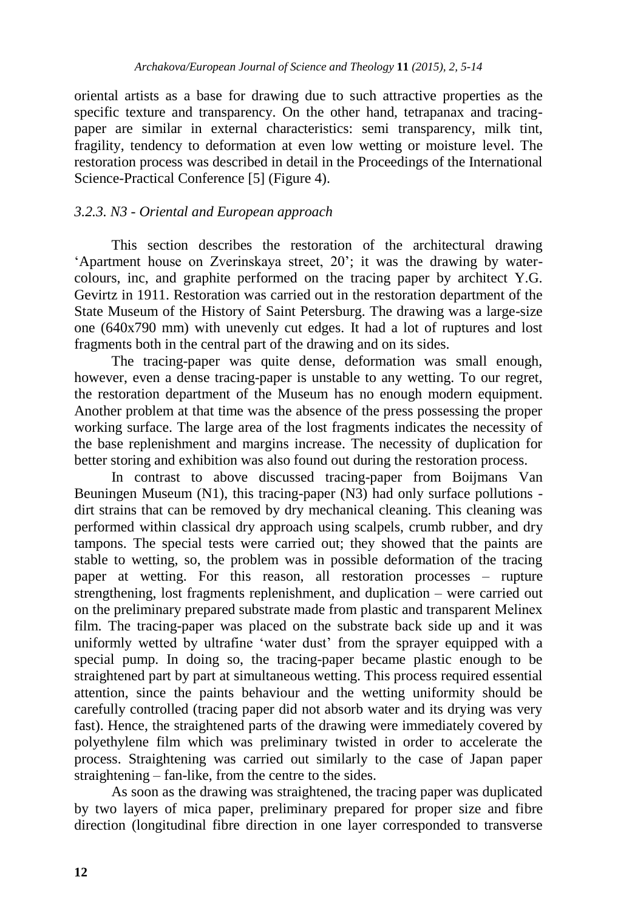oriental artists as a base for drawing due to such attractive properties as the specific texture and transparency. On the other hand, tetrapanax and tracingpaper are similar in external characteristics: semi transparency, milk tint, fragility, tendency to deformation at even low wetting or moisture level. The restoration process was described in detail in the Proceedings of the International Science-Practical Conference [5] (Figure 4).

## *3.2.3. N3 - Oriental and European approach*

This section describes the restoration of the architectural drawing 'Apartment house on Zverinskaya street, 20'; it was the drawing by watercolours, inc, and graphite performed on the tracing paper by architect Y.G. Gevirtz in 1911. Restoration was carried out in the restoration department of the State Museum of the History of Saint Petersburg. The drawing was a large-size one (640x790 mm) with unevenly cut edges. It had a lot of ruptures and lost fragments both in the central part of the drawing and on its sides.

The tracing-paper was quite dense, deformation was small enough, however, even a dense tracing-paper is unstable to any wetting. To our regret, the restoration department of the Museum has no enough modern equipment. Another problem at that time was the absence of the press possessing the proper working surface. The large area of the lost fragments indicates the necessity of the base replenishment and margins increase. The necessity of duplication for better storing and exhibition was also found out during the restoration process.

In contrast to above discussed tracing-paper from Boijmans Van Beuningen Museum (N1), this tracing-paper (N3) had only surface pollutions dirt strains that can be removed by dry mechanical cleaning. This cleaning was performed within classical dry approach using scalpels, crumb rubber, and dry tampons. The special tests were carried out; they showed that the paints are stable to wetting, so, the problem was in possible deformation of the tracing paper at wetting. For this reason, all restoration processes – rupture strengthening, lost fragments replenishment, and duplication – were carried out on the preliminary prepared substrate made from plastic and transparent Мelineх film. The tracing-paper was placed on the substrate back side up and it was uniformly wetted by ultrafine 'water dust' from the sprayer equipped with a special pump. In doing so, the tracing-paper became plastic enough to be straightened part by part at simultaneous wetting. This process required essential attention, since the paints behaviour and the wetting uniformity should be carefully controlled (tracing paper did not absorb water and its drying was very fast). Hence, the straightened parts of the drawing were immediately covered by polyethylene film which was preliminary twisted in order to accelerate the process. Straightening was carried out similarly to the case of Japan paper straightening – fan-like, from the centre to the sides.

As soon as the drawing was straightened, the tracing paper was duplicated by two layers of mica paper, preliminary prepared for proper size and fibre direction (longitudinal fibre direction in one layer corresponded to transverse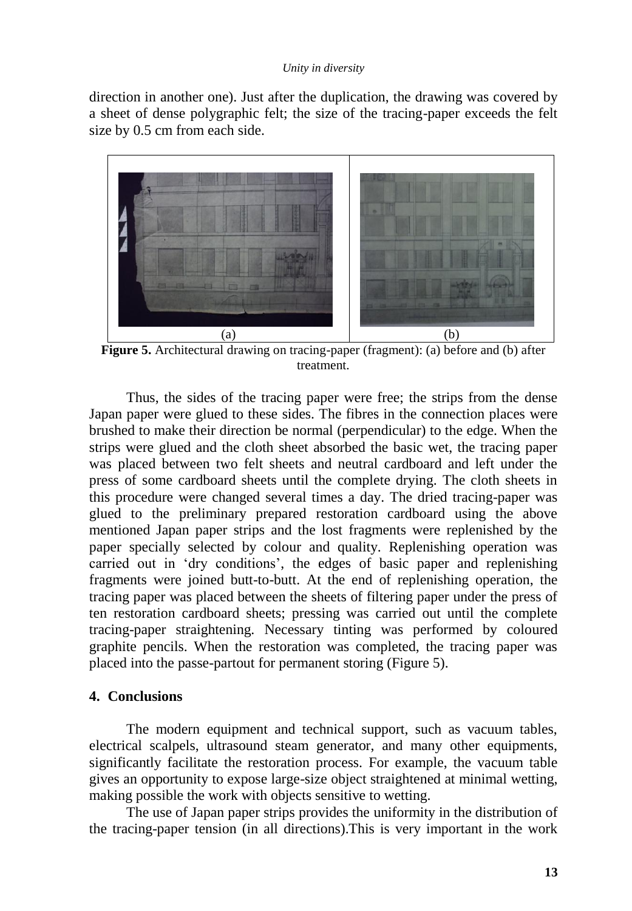direction in another one). Just after the duplication, the drawing was covered by a sheet of dense polygraphic felt; the size of the tracing-paper exceeds the felt size by 0.5 cm from each side.



**Figure 5.** Architectural drawing on tracing-paper (fragment): (a) before and (b) after treatment.

Thus, the sides of the tracing paper were free; the strips from the dense Japan paper were glued to these sides. The fibres in the connection places were brushed to make their direction be normal (perpendicular) to the edge. When the strips were glued and the cloth sheet absorbed the basic wet, the tracing paper was placed between two felt sheets and neutral cardboard and left under the press of some cardboard sheets until the complete drying. The cloth sheets in this procedure were changed several times a day. The dried tracing-paper was glued to the preliminary prepared restoration cardboard using the above mentioned Japan paper strips and the lost fragments were replenished by the paper specially selected by colour and quality. Replenishing operation was carried out in 'dry conditions', the edges of basic paper and replenishing fragments were joined butt-to-butt. At the end of replenishing operation, the tracing paper was placed between the sheets of filtering paper under the press of ten restoration cardboard sheets; pressing was carried out until the complete tracing-paper straightening. Necessary tinting was performed by coloured graphite pencils. When the restoration was completed, the tracing paper was placed into the passe-partout for permanent storing (Figure 5).

### **4. Conclusions**

The modern equipment and technical support, such as vacuum tables, electrical scalpels, ultrasound steam generator, and many other equipments, significantly facilitate the restoration process. For example, the vacuum table gives an opportunity to expose large-size object straightened at minimal wetting, making possible the work with objects sensitive to wetting.

The use of Japan paper strips provides the uniformity in the distribution of the tracing-paper tension (in all directions).This is very important in the work